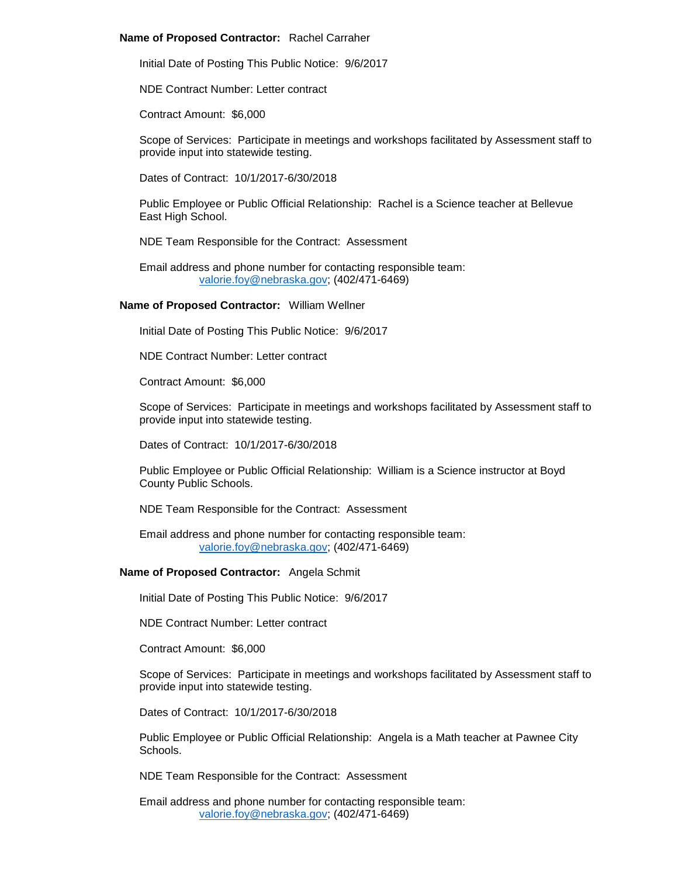### **Name of Proposed Contractor:** Rachel Carraher

Initial Date of Posting This Public Notice: 9/6/2017

NDE Contract Number: Letter contract

Contract Amount: \$6,000

Scope of Services: Participate in meetings and workshops facilitated by Assessment staff to provide input into statewide testing.

Dates of Contract: 10/1/2017-6/30/2018

Public Employee or Public Official Relationship: Rachel is a Science teacher at Bellevue East High School.

NDE Team Responsible for the Contract: Assessment

Email address and phone number for contacting responsible team: [valorie.foy@nebraska.gov;](mailto:valorie.foy@nebraska.gov) (402/471-6469)

#### **Name of Proposed Contractor:** William Wellner

Initial Date of Posting This Public Notice: 9/6/2017

NDE Contract Number: Letter contract

Contract Amount: \$6,000

Scope of Services: Participate in meetings and workshops facilitated by Assessment staff to provide input into statewide testing.

Dates of Contract: 10/1/2017-6/30/2018

Public Employee or Public Official Relationship: William is a Science instructor at Boyd County Public Schools.

NDE Team Responsible for the Contract: Assessment

Email address and phone number for contacting responsible team: [valorie.foy@nebraska.gov;](mailto:valorie.foy@nebraska.gov) (402/471-6469)

### **Name of Proposed Contractor:** Angela Schmit

Initial Date of Posting This Public Notice: 9/6/2017

NDE Contract Number: Letter contract

Contract Amount: \$6,000

Scope of Services: Participate in meetings and workshops facilitated by Assessment staff to provide input into statewide testing.

Dates of Contract: 10/1/2017-6/30/2018

Public Employee or Public Official Relationship: Angela is a Math teacher at Pawnee City Schools.

NDE Team Responsible for the Contract: Assessment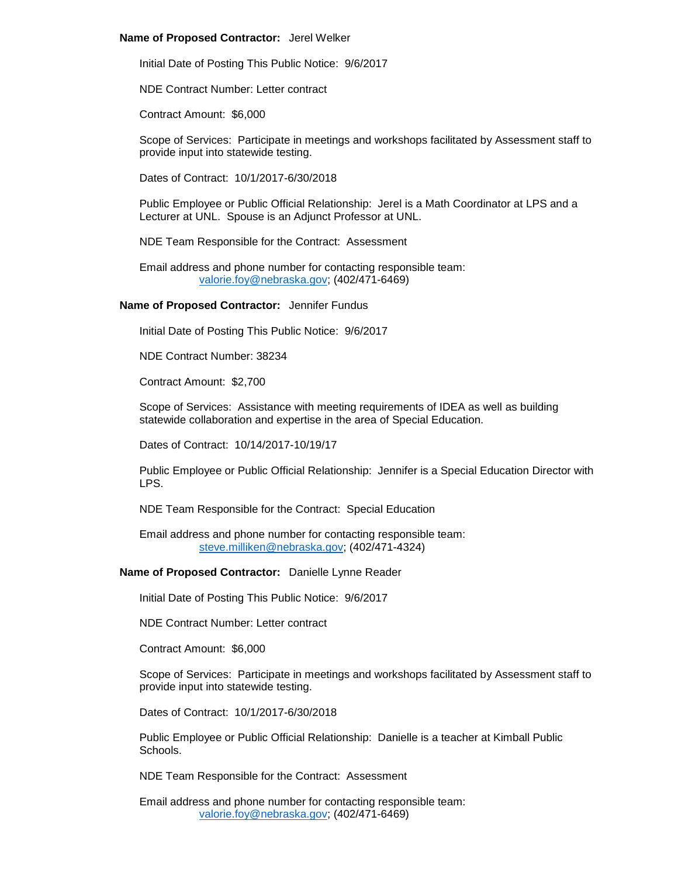#### **Name of Proposed Contractor:** Jerel Welker

Initial Date of Posting This Public Notice: 9/6/2017

NDE Contract Number: Letter contract

Contract Amount: \$6,000

Scope of Services: Participate in meetings and workshops facilitated by Assessment staff to provide input into statewide testing.

Dates of Contract: 10/1/2017-6/30/2018

Public Employee or Public Official Relationship: Jerel is a Math Coordinator at LPS and a Lecturer at UNL. Spouse is an Adjunct Professor at UNL.

NDE Team Responsible for the Contract: Assessment

Email address and phone number for contacting responsible team: [valorie.foy@nebraska.gov;](mailto:valorie.foy@nebraska.gov) (402/471-6469)

#### **Name of Proposed Contractor:** Jennifer Fundus

Initial Date of Posting This Public Notice: 9/6/2017

NDE Contract Number: 38234

Contract Amount: \$2,700

Scope of Services: Assistance with meeting requirements of IDEA as well as building statewide collaboration and expertise in the area of Special Education.

Dates of Contract: 10/14/2017-10/19/17

Public Employee or Public Official Relationship: Jennifer is a Special Education Director with LPS.

NDE Team Responsible for the Contract: Special Education

Email address and phone number for contacting responsible team: [steve.milliken@nebraska.gov;](mailto:steve.milliken@nebraska.gov) (402/471-4324)

**Name of Proposed Contractor:** Danielle Lynne Reader

Initial Date of Posting This Public Notice: 9/6/2017

NDE Contract Number: Letter contract

Contract Amount: \$6,000

Scope of Services: Participate in meetings and workshops facilitated by Assessment staff to provide input into statewide testing.

Dates of Contract: 10/1/2017-6/30/2018

Public Employee or Public Official Relationship: Danielle is a teacher at Kimball Public Schools.

NDE Team Responsible for the Contract: Assessment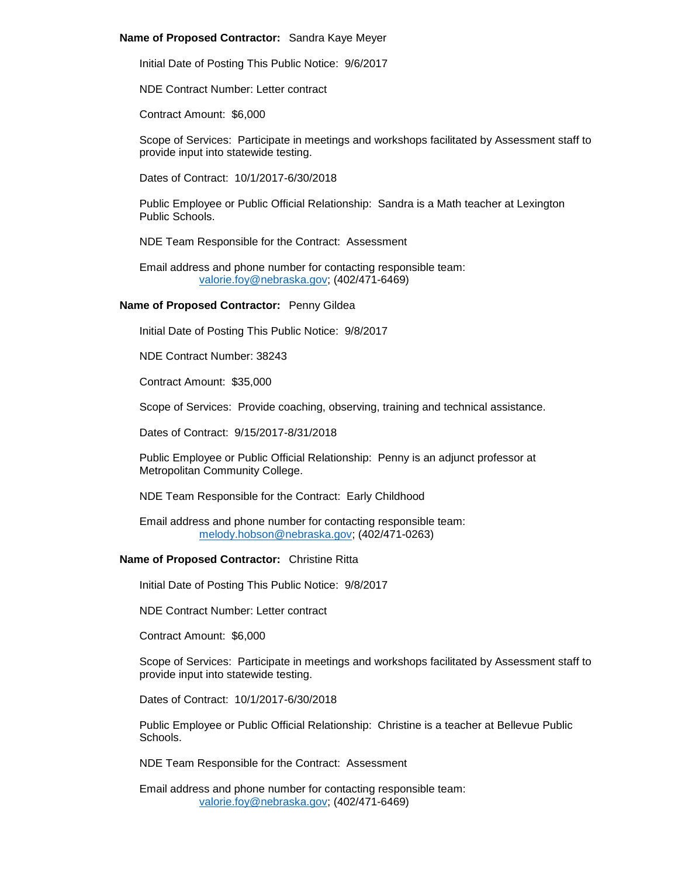### **Name of Proposed Contractor:** Sandra Kaye Meyer

Initial Date of Posting This Public Notice: 9/6/2017

NDE Contract Number: Letter contract

Contract Amount: \$6,000

Scope of Services: Participate in meetings and workshops facilitated by Assessment staff to provide input into statewide testing.

Dates of Contract: 10/1/2017-6/30/2018

Public Employee or Public Official Relationship: Sandra is a Math teacher at Lexington Public Schools.

NDE Team Responsible for the Contract: Assessment

Email address and phone number for contacting responsible team: [valorie.foy@nebraska.gov;](mailto:valorie.foy@nebraska.gov) (402/471-6469)

# **Name of Proposed Contractor:** Penny Gildea

Initial Date of Posting This Public Notice: 9/8/2017

NDE Contract Number: 38243

Contract Amount: \$35,000

Scope of Services: Provide coaching, observing, training and technical assistance.

Dates of Contract: 9/15/2017-8/31/2018

Public Employee or Public Official Relationship: Penny is an adjunct professor at Metropolitan Community College.

NDE Team Responsible for the Contract: Early Childhood

Email address and phone number for contacting responsible team: [melody.hobson@nebraska.gov;](mailto:melody.hobson@nebraska.gov) (402/471-0263)

# **Name of Proposed Contractor:** Christine Ritta

Initial Date of Posting This Public Notice: 9/8/2017

NDE Contract Number: Letter contract

Contract Amount: \$6,000

Scope of Services: Participate in meetings and workshops facilitated by Assessment staff to provide input into statewide testing.

Dates of Contract: 10/1/2017-6/30/2018

Public Employee or Public Official Relationship: Christine is a teacher at Bellevue Public Schools.

NDE Team Responsible for the Contract: Assessment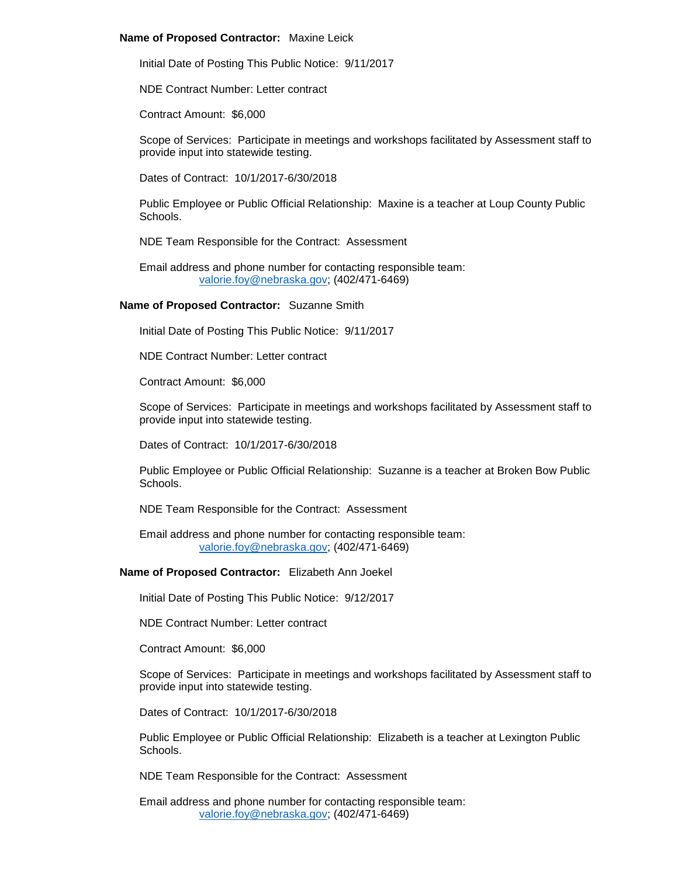### **Name of Proposed Contractor:** Maxine Leick

Initial Date of Posting This Public Notice: 9/11/2017

NDE Contract Number: Letter contract

Contract Amount: \$6,000

Scope of Services: Participate in meetings and workshops facilitated by Assessment staff to provide input into statewide testing.

Dates of Contract: 10/1/2017-6/30/2018

Public Employee or Public Official Relationship: Maxine is a teacher at Loup County Public Schools.

NDE Team Responsible for the Contract: Assessment

Email address and phone number for contacting responsible team: [valorie.foy@nebraska.gov;](mailto:valorie.foy@nebraska.gov) (402/471-6469)

#### **Name of Proposed Contractor:** Suzanne Smith

Initial Date of Posting This Public Notice: 9/11/2017

NDE Contract Number: Letter contract

Contract Amount: \$6,000

Scope of Services: Participate in meetings and workshops facilitated by Assessment staff to provide input into statewide testing.

Dates of Contract: 10/1/2017-6/30/2018

Public Employee or Public Official Relationship: Suzanne is a teacher at Broken Bow Public **Schools** 

NDE Team Responsible for the Contract: Assessment

Email address and phone number for contacting responsible team: [valorie.foy@nebraska.gov;](mailto:valorie.foy@nebraska.gov) (402/471-6469)

### **Name of Proposed Contractor:** Elizabeth Ann Joekel

Initial Date of Posting This Public Notice: 9/12/2017

NDE Contract Number: Letter contract

Contract Amount: \$6,000

Scope of Services: Participate in meetings and workshops facilitated by Assessment staff to provide input into statewide testing.

Dates of Contract: 10/1/2017-6/30/2018

Public Employee or Public Official Relationship: Elizabeth is a teacher at Lexington Public Schools.

NDE Team Responsible for the Contract: Assessment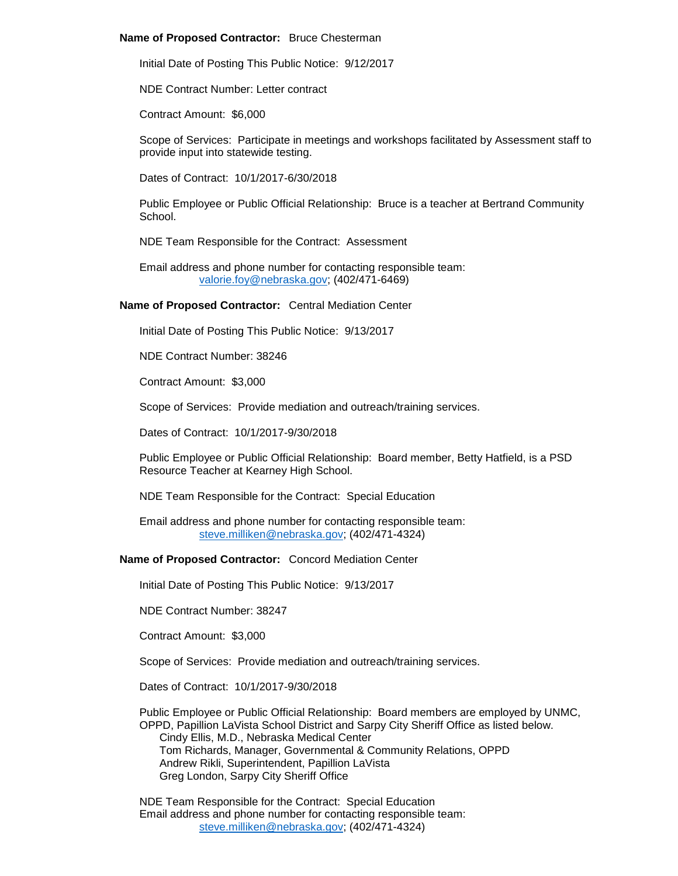### **Name of Proposed Contractor:** Bruce Chesterman

Initial Date of Posting This Public Notice: 9/12/2017

NDE Contract Number: Letter contract

Contract Amount: \$6,000

Scope of Services: Participate in meetings and workshops facilitated by Assessment staff to provide input into statewide testing.

Dates of Contract: 10/1/2017-6/30/2018

Public Employee or Public Official Relationship: Bruce is a teacher at Bertrand Community School.

NDE Team Responsible for the Contract: Assessment

Email address and phone number for contacting responsible team: [valorie.foy@nebraska.gov;](mailto:valorie.foy@nebraska.gov) (402/471-6469)

**Name of Proposed Contractor:** Central Mediation Center

Initial Date of Posting This Public Notice: 9/13/2017

NDE Contract Number: 38246

Contract Amount: \$3,000

Scope of Services: Provide mediation and outreach/training services.

Dates of Contract: 10/1/2017-9/30/2018

Public Employee or Public Official Relationship: Board member, Betty Hatfield, is a PSD Resource Teacher at Kearney High School.

NDE Team Responsible for the Contract: Special Education

Email address and phone number for contacting responsible team: [steve.milliken@nebraska.gov;](mailto:steve.milliken@nebraska.gov) (402/471-4324)

**Name of Proposed Contractor:** Concord Mediation Center

Initial Date of Posting This Public Notice: 9/13/2017

NDE Contract Number: 38247

Contract Amount: \$3,000

Scope of Services: Provide mediation and outreach/training services.

Dates of Contract: 10/1/2017-9/30/2018

Public Employee or Public Official Relationship: Board members are employed by UNMC, OPPD, Papillion LaVista School District and Sarpy City Sheriff Office as listed below. Cindy Ellis, M.D., Nebraska Medical Center

Tom Richards, Manager, Governmental & Community Relations, OPPD Andrew Rikli, Superintendent, Papillion LaVista Greg London, Sarpy City Sheriff Office

NDE Team Responsible for the Contract: Special Education Email address and phone number for contacting responsible team: [steve.milliken@nebraska.gov;](mailto:steve.milliken@nebraska.gov) (402/471-4324)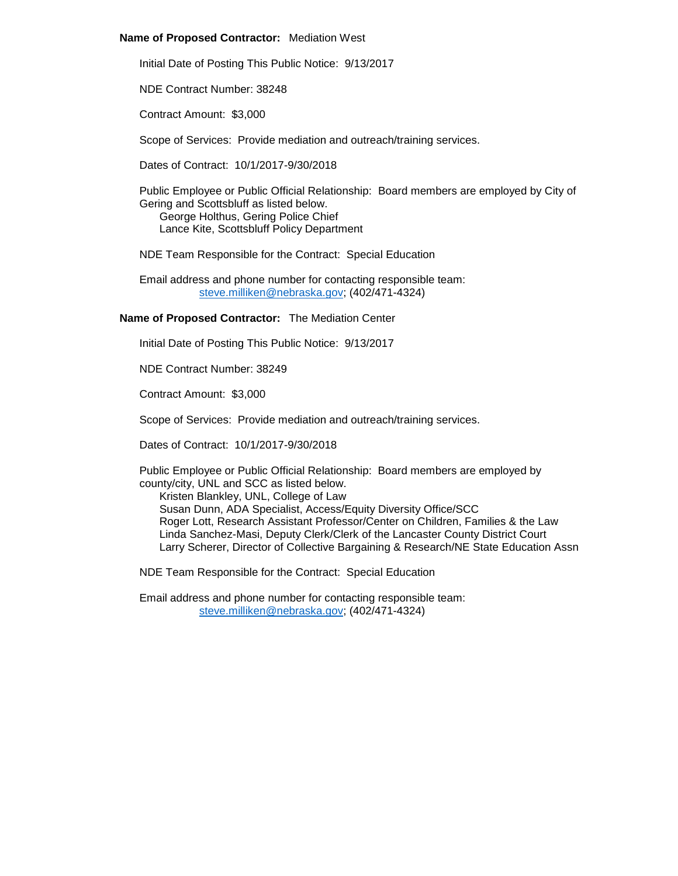### **Name of Proposed Contractor:** Mediation West

Initial Date of Posting This Public Notice: 9/13/2017

NDE Contract Number: 38248

Contract Amount: \$3,000

Scope of Services: Provide mediation and outreach/training services.

Dates of Contract: 10/1/2017-9/30/2018

Public Employee or Public Official Relationship: Board members are employed by City of Gering and Scottsbluff as listed below.

George Holthus, Gering Police Chief Lance Kite, Scottsbluff Policy Department

NDE Team Responsible for the Contract: Special Education

Email address and phone number for contacting responsible team: [steve.milliken@nebraska.gov;](mailto:steve.milliken@nebraska.gov) (402/471-4324)

# **Name of Proposed Contractor:** The Mediation Center

Initial Date of Posting This Public Notice: 9/13/2017

NDE Contract Number: 38249

Contract Amount: \$3,000

Scope of Services: Provide mediation and outreach/training services.

Dates of Contract: 10/1/2017-9/30/2018

Public Employee or Public Official Relationship: Board members are employed by county/city, UNL and SCC as listed below.

Kristen Blankley, UNL, College of Law

Susan Dunn, ADA Specialist, Access/Equity Diversity Office/SCC Roger Lott, Research Assistant Professor/Center on Children, Families & the Law Linda Sanchez-Masi, Deputy Clerk/Clerk of the Lancaster County District Court Larry Scherer, Director of Collective Bargaining & Research/NE State Education Assn

NDE Team Responsible for the Contract: Special Education

Email address and phone number for contacting responsible team: [steve.milliken@nebraska.gov;](mailto:steve.milliken@nebraska.gov) (402/471-4324)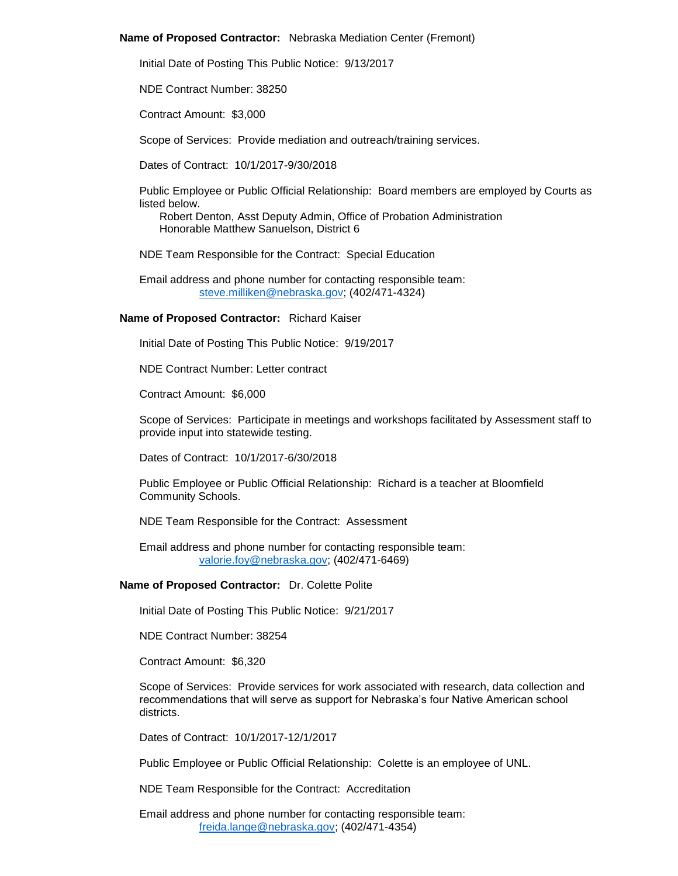### **Name of Proposed Contractor:** Nebraska Mediation Center (Fremont)

Initial Date of Posting This Public Notice: 9/13/2017

NDE Contract Number: 38250

Contract Amount: \$3,000

Scope of Services: Provide mediation and outreach/training services.

Dates of Contract: 10/1/2017-9/30/2018

Public Employee or Public Official Relationship: Board members are employed by Courts as listed below.

Robert Denton, Asst Deputy Admin, Office of Probation Administration Honorable Matthew Sanuelson, District 6

NDE Team Responsible for the Contract: Special Education

Email address and phone number for contacting responsible team: [steve.milliken@nebraska.gov;](mailto:steve.milliken@nebraska.gov) (402/471-4324)

# **Name of Proposed Contractor:** Richard Kaiser

Initial Date of Posting This Public Notice: 9/19/2017

NDE Contract Number: Letter contract

Contract Amount: \$6,000

Scope of Services: Participate in meetings and workshops facilitated by Assessment staff to provide input into statewide testing.

Dates of Contract: 10/1/2017-6/30/2018

Public Employee or Public Official Relationship: Richard is a teacher at Bloomfield Community Schools.

NDE Team Responsible for the Contract: Assessment

Email address and phone number for contacting responsible team: [valorie.foy@nebraska.gov;](mailto:valorie.foy@nebraska.gov) (402/471-6469)

### **Name of Proposed Contractor:** Dr. Colette Polite

Initial Date of Posting This Public Notice: 9/21/2017

NDE Contract Number: 38254

Contract Amount: \$6,320

Scope of Services: Provide services for work associated with research, data collection and recommendations that will serve as support for Nebraska's four Native American school districts.

Dates of Contract: 10/1/2017-12/1/2017

Public Employee or Public Official Relationship: Colette is an employee of UNL.

NDE Team Responsible for the Contract: Accreditation

Email address and phone number for contacting responsible team: [freida.lange@nebraska.gov;](mailto:freida.lange@nebraska.gov) (402/471-4354)